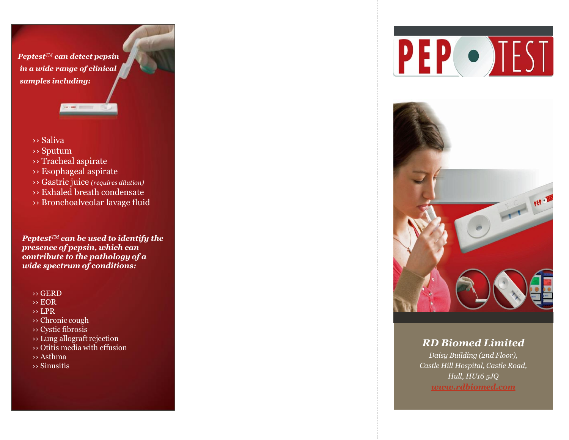*PeptestTM can detect pepsin in a wide range of clinical samples including:*

- ›› Saliva
- ›› Sputum
- ›› Tracheal aspirate
- ›› Esophageal aspirate
- ›› Gastric juice *(requires dilution)*
- ›› Exhaled breath condensate
- ›› Bronchoalveolar lavage fluid

*PeptestTM can be used to identify the presence of pepsin, which can contribute to the pathology of a wide spectrum of conditions:*

- ›› GERD
- ›› EOR
- ›› LPR
- ›› Chronic cough
- ›› Cystic fibrosis
- ›› Lung allograft rejection
- ›› Otitis media with effusion
- ›› Asthma
- ›› Sinusitis





## *RD Biomed Limited*

*Daisy Building (2nd Floor), Castle Hill Hospital, Castle Road, Hull, HU16 5JQ [www.rdbiomed.com](http://www.rdbiomed.com/)*